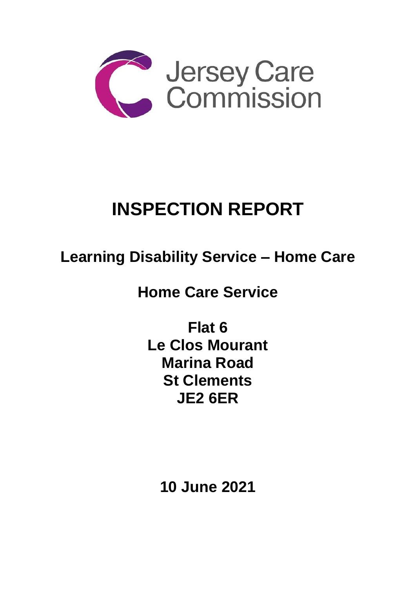

# **INSPECTION REPORT**

## **Learning Disability Service – Home Care**

**Home Care Service**

**Flat 6 Le Clos Mourant Marina Road St Clements JE2 6ER**

**10 June 2021**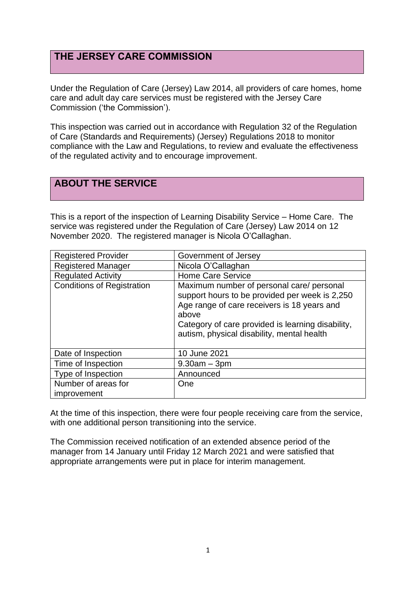## **THE JERSEY CARE COMMISSION**

Under the Regulation of Care (Jersey) Law 2014, all providers of care homes, home care and adult day care services must be registered with the Jersey Care Commission ('the Commission').

This inspection was carried out in accordance with Regulation 32 of the Regulation of Care (Standards and Requirements) (Jersey) Regulations 2018 to monitor compliance with the Law and Regulations, to review and evaluate the effectiveness of the regulated activity and to encourage improvement.

## **ABOUT THE SERVICE**

This is a report of the inspection of Learning Disability Service – Home Care. The service was registered under the Regulation of Care (Jersey) Law 2014 on 12 November 2020. The registered manager is Nicola O'Callaghan.

| <b>Registered Provider</b>        | Government of Jersey                                                                                                                                                                                                                                   |
|-----------------------------------|--------------------------------------------------------------------------------------------------------------------------------------------------------------------------------------------------------------------------------------------------------|
| <b>Registered Manager</b>         | Nicola O'Callaghan                                                                                                                                                                                                                                     |
| <b>Regulated Activity</b>         | <b>Home Care Service</b>                                                                                                                                                                                                                               |
| <b>Conditions of Registration</b> | Maximum number of personal care/ personal<br>support hours to be provided per week is 2,250<br>Age range of care receivers is 18 years and<br>above<br>Category of care provided is learning disability,<br>autism, physical disability, mental health |
| Date of Inspection                | 10 June 2021                                                                                                                                                                                                                                           |
| Time of Inspection                | $9.30am - 3pm$                                                                                                                                                                                                                                         |
| Type of Inspection                | Announced                                                                                                                                                                                                                                              |
| Number of areas for               | One                                                                                                                                                                                                                                                    |
| improvement                       |                                                                                                                                                                                                                                                        |

At the time of this inspection, there were four people receiving care from the service, with one additional person transitioning into the service.

The Commission received notification of an extended absence period of the manager from 14 January until Friday 12 March 2021 and were satisfied that appropriate arrangements were put in place for interim management.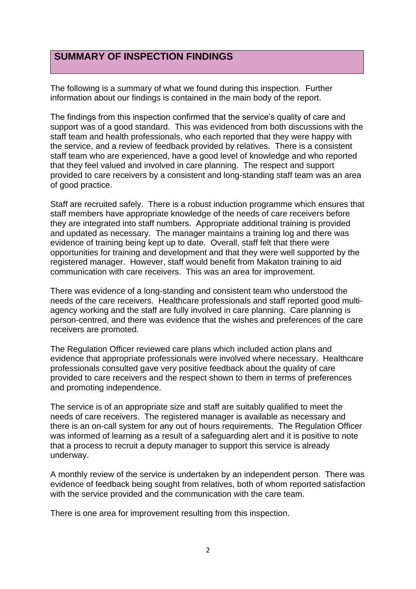## **SUMMARY OF INSPECTION FINDINGS**

The following is a summary of what we found during this inspection. Further information about our findings is contained in the main body of the report.

The findings from this inspection confirmed that the service's quality of care and support was of a good standard. This was evidenced from both discussions with the staff team and health professionals, who each reported that they were happy with the service, and a review of feedback provided by relatives. There is a consistent staff team who are experienced, have a good level of knowledge and who reported that they feel valued and involved in care planning. The respect and support provided to care receivers by a consistent and long-standing staff team was an area of good practice.

Staff are recruited safely. There is a robust induction programme which ensures that staff members have appropriate knowledge of the needs of care receivers before they are integrated into staff numbers. Appropriate additional training is provided and updated as necessary. The manager maintains a training log and there was evidence of training being kept up to date. Overall, staff felt that there were opportunities for training and development and that they were well supported by the registered manager. However, staff would benefit from Makaton training to aid communication with care receivers. This was an area for improvement.

There was evidence of a long-standing and consistent team who understood the needs of the care receivers. Healthcare professionals and staff reported good multiagency working and the staff are fully involved in care planning. Care planning is person-centred, and there was evidence that the wishes and preferences of the care receivers are promoted.

The Regulation Officer reviewed care plans which included action plans and evidence that appropriate professionals were involved where necessary. Healthcare professionals consulted gave very positive feedback about the quality of care provided to care receivers and the respect shown to them in terms of preferences and promoting independence.

The service is of an appropriate size and staff are suitably qualified to meet the needs of care receivers. The registered manager is available as necessary and there is an on-call system for any out of hours requirements. The Regulation Officer was informed of learning as a result of a safeguarding alert and it is positive to note that a process to recruit a deputy manager to support this service is already underway.

A monthly review of the service is undertaken by an independent person. There was evidence of feedback being sought from relatives, both of whom reported satisfaction with the service provided and the communication with the care team.

There is one area for improvement resulting from this inspection.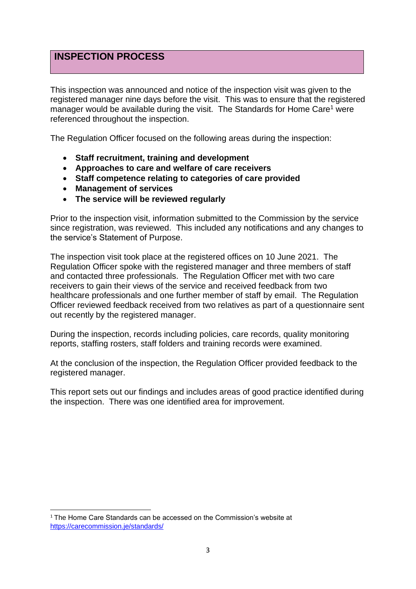## **INSPECTION PROCESS**

This inspection was announced and notice of the inspection visit was given to the registered manager nine days before the visit. This was to ensure that the registered manager would be available during the visit. The Standards for Home Care<sup>1</sup> were referenced throughout the inspection.

The Regulation Officer focused on the following areas during the inspection:

- **Staff recruitment, training and development**
- **Approaches to care and welfare of care receivers**
- **Staff competence relating to categories of care provided**
- **Management of services**
- **The service will be reviewed regularly**

Prior to the inspection visit, information submitted to the Commission by the service since registration, was reviewed. This included any notifications and any changes to the service's Statement of Purpose.

The inspection visit took place at the registered offices on 10 June 2021. The Regulation Officer spoke with the registered manager and three members of staff and contacted three professionals. The Regulation Officer met with two care receivers to gain their views of the service and received feedback from two healthcare professionals and one further member of staff by email. The Regulation Officer reviewed feedback received from two relatives as part of a questionnaire sent out recently by the registered manager.

During the inspection, records including policies, care records, quality monitoring reports, staffing rosters, staff folders and training records were examined.

At the conclusion of the inspection, the Regulation Officer provided feedback to the registered manager.

This report sets out our findings and includes areas of good practice identified during the inspection. There was one identified area for improvement.

<sup>&</sup>lt;sup>1</sup> The Home Care Standards can be accessed on the Commission's website at <https://carecommission.je/standards/>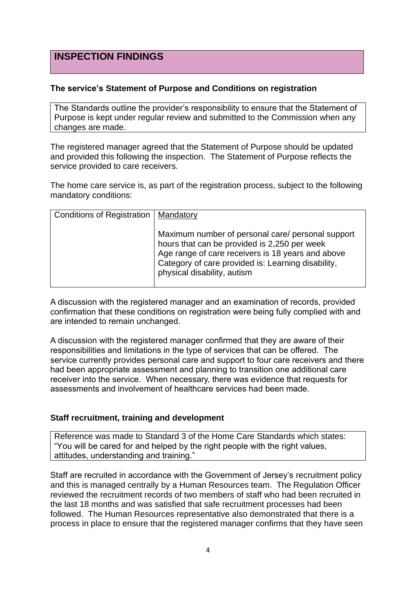## **INSPECTION FINDINGS**

#### **The service's Statement of Purpose and Conditions on registration**

The Standards outline the provider's responsibility to ensure that the Statement of Purpose is kept under regular review and submitted to the Commission when any changes are made.

The registered manager agreed that the Statement of Purpose should be updated and provided this following the inspection. The Statement of Purpose reflects the service provided to care receivers.

The home care service is, as part of the registration process, subject to the following mandatory conditions:

| Conditions of Registration   Mandatory |                                                                                                                                                                                                                                             |
|----------------------------------------|---------------------------------------------------------------------------------------------------------------------------------------------------------------------------------------------------------------------------------------------|
|                                        | Maximum number of personal care/ personal support<br>hours that can be provided is 2,250 per week<br>Age range of care receivers is 18 years and above<br>Category of care provided is: Learning disability,<br>physical disability, autism |

A discussion with the registered manager and an examination of records, provided confirmation that these conditions on registration were being fully complied with and are intended to remain unchanged.

A discussion with the registered manager confirmed that they are aware of their responsibilities and limitations in the type of services that can be offered. The service currently provides personal care and support to four care receivers and there had been appropriate assessment and planning to transition one additional care receiver into the service. When necessary, there was evidence that requests for assessments and involvement of healthcare services had been made.

#### **Staff recruitment, training and development**

Reference was made to Standard 3 of the Home Care Standards which states: "You will be cared for and helped by the right people with the right values, attitudes, understanding and training."

Staff are recruited in accordance with the Government of Jersey's recruitment policy and this is managed centrally by a Human Resources team. The Regulation Officer reviewed the recruitment records of two members of staff who had been recruited in the last 18 months and was satisfied that safe recruitment processes had been followed. The Human Resources representative also demonstrated that there is a process in place to ensure that the registered manager confirms that they have seen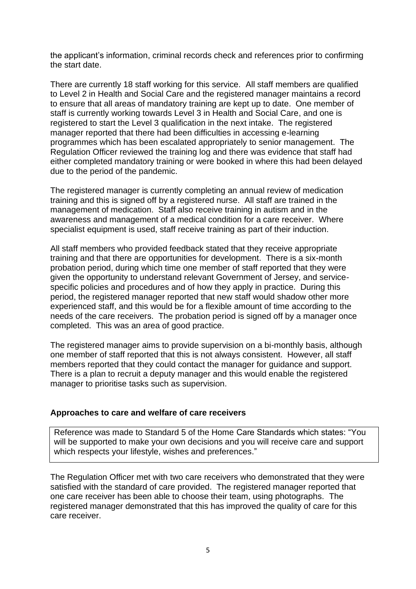the applicant's information, criminal records check and references prior to confirming the start date.

There are currently 18 staff working for this service. All staff members are qualified to Level 2 in Health and Social Care and the registered manager maintains a record to ensure that all areas of mandatory training are kept up to date. One member of staff is currently working towards Level 3 in Health and Social Care, and one is registered to start the Level 3 qualification in the next intake. The registered manager reported that there had been difficulties in accessing e-learning programmes which has been escalated appropriately to senior management. The Regulation Officer reviewed the training log and there was evidence that staff had either completed mandatory training or were booked in where this had been delayed due to the period of the pandemic.

The registered manager is currently completing an annual review of medication training and this is signed off by a registered nurse. All staff are trained in the management of medication. Staff also receive training in autism and in the awareness and management of a medical condition for a care receiver. Where specialist equipment is used, staff receive training as part of their induction.

All staff members who provided feedback stated that they receive appropriate training and that there are opportunities for development. There is a six-month probation period, during which time one member of staff reported that they were given the opportunity to understand relevant Government of Jersey, and servicespecific policies and procedures and of how they apply in practice. During this period, the registered manager reported that new staff would shadow other more experienced staff, and this would be for a flexible amount of time according to the needs of the care receivers. The probation period is signed off by a manager once completed. This was an area of good practice.

The registered manager aims to provide supervision on a bi-monthly basis, although one member of staff reported that this is not always consistent. However, all staff members reported that they could contact the manager for guidance and support. There is a plan to recruit a deputy manager and this would enable the registered manager to prioritise tasks such as supervision.

#### **Approaches to care and welfare of care receivers**

Reference was made to Standard 5 of the Home Care Standards which states: "You will be supported to make your own decisions and you will receive care and support which respects your lifestyle, wishes and preferences."

The Regulation Officer met with two care receivers who demonstrated that they were satisfied with the standard of care provided. The registered manager reported that one care receiver has been able to choose their team, using photographs. The registered manager demonstrated that this has improved the quality of care for this care receiver.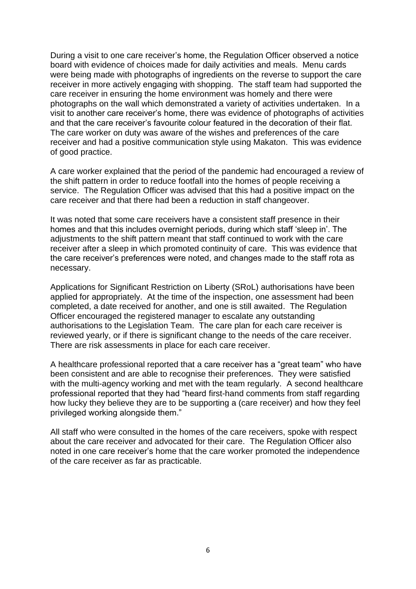During a visit to one care receiver's home, the Regulation Officer observed a notice board with evidence of choices made for daily activities and meals. Menu cards were being made with photographs of ingredients on the reverse to support the care receiver in more actively engaging with shopping. The staff team had supported the care receiver in ensuring the home environment was homely and there were photographs on the wall which demonstrated a variety of activities undertaken. In a visit to another care receiver's home, there was evidence of photographs of activities and that the care receiver's favourite colour featured in the decoration of their flat. The care worker on duty was aware of the wishes and preferences of the care receiver and had a positive communication style using Makaton. This was evidence of good practice.

A care worker explained that the period of the pandemic had encouraged a review of the shift pattern in order to reduce footfall into the homes of people receiving a service. The Regulation Officer was advised that this had a positive impact on the care receiver and that there had been a reduction in staff changeover.

It was noted that some care receivers have a consistent staff presence in their homes and that this includes overnight periods, during which staff 'sleep in'. The adjustments to the shift pattern meant that staff continued to work with the care receiver after a sleep in which promoted continuity of care. This was evidence that the care receiver's preferences were noted, and changes made to the staff rota as necessary.

Applications for Significant Restriction on Liberty (SRoL) authorisations have been applied for appropriately. At the time of the inspection, one assessment had been completed, a date received for another, and one is still awaited. The Regulation Officer encouraged the registered manager to escalate any outstanding authorisations to the Legislation Team. The care plan for each care receiver is reviewed yearly, or if there is significant change to the needs of the care receiver. There are risk assessments in place for each care receiver.

A healthcare professional reported that a care receiver has a "great team" who have been consistent and are able to recognise their preferences. They were satisfied with the multi-agency working and met with the team regularly. A second healthcare professional reported that they had "heard first-hand comments from staff regarding how lucky they believe they are to be supporting a (care receiver) and how they feel privileged working alongside them."

All staff who were consulted in the homes of the care receivers, spoke with respect about the care receiver and advocated for their care. The Regulation Officer also noted in one care receiver's home that the care worker promoted the independence of the care receiver as far as practicable.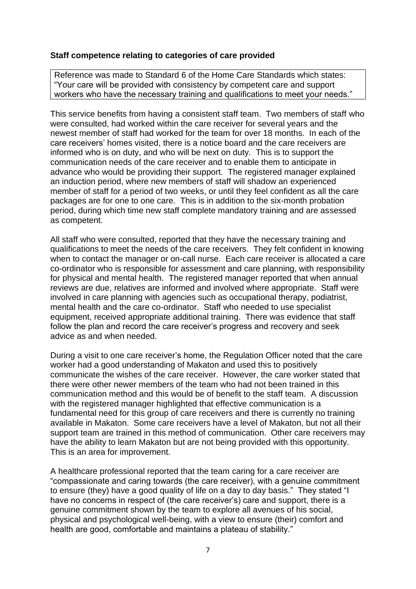#### **Staff competence relating to categories of care provided**

Reference was made to Standard 6 of the Home Care Standards which states: "Your care will be provided with consistency by competent care and support workers who have the necessary training and qualifications to meet your needs."

This service benefits from having a consistent staff team. Two members of staff who were consulted, had worked within the care receiver for several years and the newest member of staff had worked for the team for over 18 months. In each of the care receivers' homes visited, there is a notice board and the care receivers are informed who is on duty, and who will be next on duty. This is to support the communication needs of the care receiver and to enable them to anticipate in advance who would be providing their support. The registered manager explained an induction period, where new members of staff will shadow an experienced member of staff for a period of two weeks, or until they feel confident as all the care packages are for one to one care. This is in addition to the six-month probation period, during which time new staff complete mandatory training and are assessed as competent.

All staff who were consulted, reported that they have the necessary training and qualifications to meet the needs of the care receivers. They felt confident in knowing when to contact the manager or on-call nurse. Each care receiver is allocated a care co-ordinator who is responsible for assessment and care planning, with responsibility for physical and mental health. The registered manager reported that when annual reviews are due, relatives are informed and involved where appropriate. Staff were involved in care planning with agencies such as occupational therapy, podiatrist, mental health and the care co-ordinator. Staff who needed to use specialist equipment, received appropriate additional training. There was evidence that staff follow the plan and record the care receiver's progress and recovery and seek advice as and when needed.

During a visit to one care receiver's home, the Regulation Officer noted that the care worker had a good understanding of Makaton and used this to positively communicate the wishes of the care receiver. However, the care worker stated that there were other newer members of the team who had not been trained in this communication method and this would be of benefit to the staff team. A discussion with the registered manager highlighted that effective communication is a fundamental need for this group of care receivers and there is currently no training available in Makaton. Some care receivers have a level of Makaton, but not all their support team are trained in this method of communication. Other care receivers may have the ability to learn Makaton but are not being provided with this opportunity. This is an area for improvement.

A healthcare professional reported that the team caring for a care receiver are "compassionate and caring towards (the care receiver), with a genuine commitment to ensure (they) have a good quality of life on a day to day basis." They stated "I have no concerns in respect of (the care receiver's) care and support, there is a genuine commitment shown by the team to explore all avenues of his social, physical and psychological well-being, with a view to ensure (their) comfort and health are good, comfortable and maintains a plateau of stability."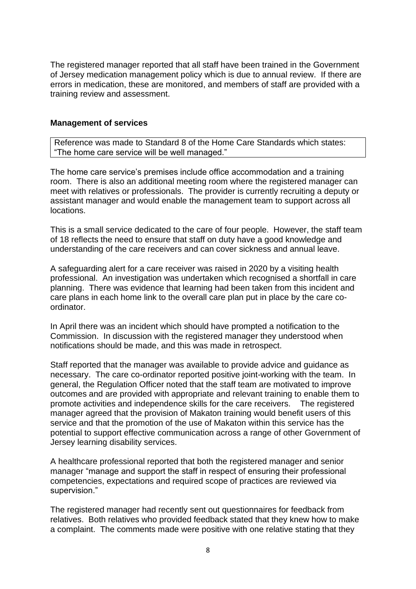The registered manager reported that all staff have been trained in the Government of Jersey medication management policy which is due to annual review. If there are errors in medication, these are monitored, and members of staff are provided with a training review and assessment.

#### **Management of services**

Reference was made to Standard 8 of the Home Care Standards which states: "The home care service will be well managed."

The home care service's premises include office accommodation and a training room. There is also an additional meeting room where the registered manager can meet with relatives or professionals. The provider is currently recruiting a deputy or assistant manager and would enable the management team to support across all locations.

This is a small service dedicated to the care of four people. However, the staff team of 18 reflects the need to ensure that staff on duty have a good knowledge and understanding of the care receivers and can cover sickness and annual leave.

A safeguarding alert for a care receiver was raised in 2020 by a visiting health professional. An investigation was undertaken which recognised a shortfall in care planning. There was evidence that learning had been taken from this incident and care plans in each home link to the overall care plan put in place by the care coordinator.

In April there was an incident which should have prompted a notification to the Commission. In discussion with the registered manager they understood when notifications should be made, and this was made in retrospect.

Staff reported that the manager was available to provide advice and guidance as necessary. The care co-ordinator reported positive joint-working with the team. In general, the Regulation Officer noted that the staff team are motivated to improve outcomes and are provided with appropriate and relevant training to enable them to promote activities and independence skills for the care receivers. The registered manager agreed that the provision of Makaton training would benefit users of this service and that the promotion of the use of Makaton within this service has the potential to support effective communication across a range of other Government of Jersey learning disability services.

A healthcare professional reported that both the registered manager and senior manager "manage and support the staff in respect of ensuring their professional competencies, expectations and required scope of practices are reviewed via supervision."

The registered manager had recently sent out questionnaires for feedback from relatives. Both relatives who provided feedback stated that they knew how to make a complaint. The comments made were positive with one relative stating that they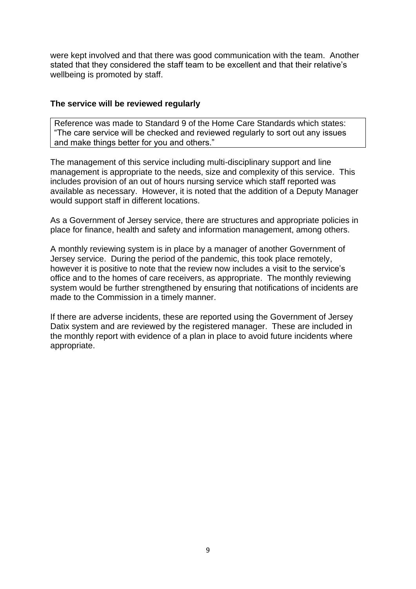were kept involved and that there was good communication with the team. Another stated that they considered the staff team to be excellent and that their relative's wellbeing is promoted by staff.

#### **The service will be reviewed regularly**

Reference was made to Standard 9 of the Home Care Standards which states: "The care service will be checked and reviewed regularly to sort out any issues and make things better for you and others."

The management of this service including multi-disciplinary support and line management is appropriate to the needs, size and complexity of this service. This includes provision of an out of hours nursing service which staff reported was available as necessary. However, it is noted that the addition of a Deputy Manager would support staff in different locations.

As a Government of Jersey service, there are structures and appropriate policies in place for finance, health and safety and information management, among others.

A monthly reviewing system is in place by a manager of another Government of Jersey service. During the period of the pandemic, this took place remotely, however it is positive to note that the review now includes a visit to the service's office and to the homes of care receivers, as appropriate. The monthly reviewing system would be further strengthened by ensuring that notifications of incidents are made to the Commission in a timely manner.

If there are adverse incidents, these are reported using the Government of Jersey Datix system and are reviewed by the registered manager. These are included in the monthly report with evidence of a plan in place to avoid future incidents where appropriate.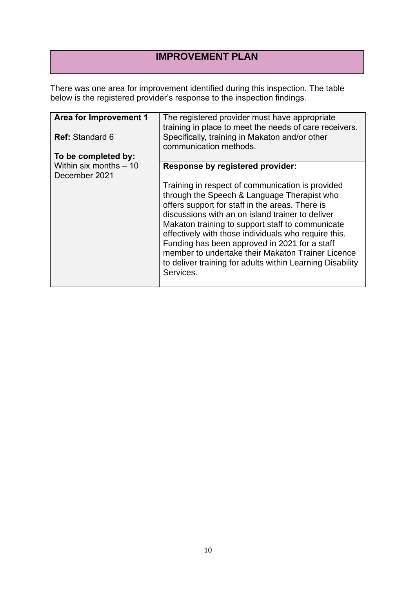## **IMPROVEMENT PLAN**

There was one area for improvement identified during this inspection. The table below is the registered provider's response to the inspection findings.

| Area for Improvement 1                  | The registered provider must have appropriate<br>training in place to meet the needs of care receivers.                                                                                                                                                                                                                                                                                                                                                                                            |
|-----------------------------------------|----------------------------------------------------------------------------------------------------------------------------------------------------------------------------------------------------------------------------------------------------------------------------------------------------------------------------------------------------------------------------------------------------------------------------------------------------------------------------------------------------|
| <b>Ref:</b> Standard 6                  | Specifically, training in Makaton and/or other<br>communication methods.                                                                                                                                                                                                                                                                                                                                                                                                                           |
| To be completed by:                     |                                                                                                                                                                                                                                                                                                                                                                                                                                                                                                    |
| Within six months - 10<br>December 2021 | Response by registered provider:                                                                                                                                                                                                                                                                                                                                                                                                                                                                   |
|                                         | Training in respect of communication is provided<br>through the Speech & Language Therapist who<br>offers support for staff in the areas. There is<br>discussions with an on island trainer to deliver<br>Makaton training to support staff to communicate<br>effectively with those individuals who require this.<br>Funding has been approved in 2021 for a staff<br>member to undertake their Makaton Trainer Licence<br>to deliver training for adults within Learning Disability<br>Services. |